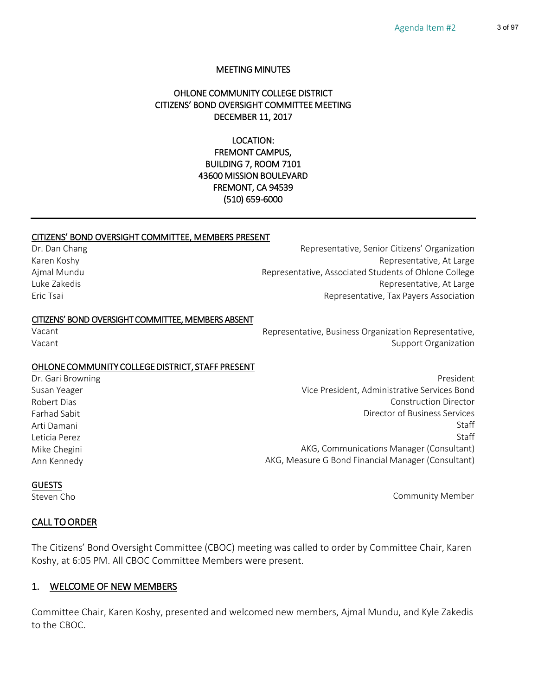#### MEETING MINUTES

#### OHLONE COMMUNITY COLLEGE DISTRICT CITIZENS' BOND OVERSIGHT COMMITTEE MEETING DECEMBER 11, 2017

LOCATION: FREMONT CAMPUS, BUILDING 7, ROOM 7101 43600 MISSION BOULEVARD FREMONT, CA 94539 (510) 659-6000

#### CITIZENS' BOND OVERSIGHT COMMITTEE, MEMBERS PRESENT

Dr. Dan Chang Representative, Senior Citizens' Organization Karen Koshy Representative, At Large Ajmal Mundu Representative, Associated Students of Ohlone College Luke Zakedis Representative, At Large Eric Tsai Representative, Tax Payers Association

#### CITIZENS' BOND OVERSIGHT COMMITTEE, MEMBERS ABSENT

Vacant Vacant  Representative, Business Organization Representative, Support Organization

#### OHLONE COMMUNITY COLLEGE DISTRICT, STAFF PRESENT

Dr. Gari Browning Susan Yeager Robert Dias Farhad Sabit Arti Damani Leticia Perez Mike Chegini Ann Kennedy

President Vice President, Administrative Services Bond Construction Director Director of Business Services Staff Staff AKG, Communications Manager (Consultant) AKG, Measure G Bond Financial Manager (Consultant)

#### GUESTS

Steven Cho

Community Member

#### CALL TO ORDER

The Citizens' Bond Oversight Committee (CBOC) meeting was called to order by Committee Chair, Karen Koshy, at 6:05 PM. All CBOC Committee Members were present.

#### 1. WELCOME OF NEW MEMBERS

Committee Chair, Karen Koshy, presented and welcomed new members, Ajmal Mundu, and Kyle Zakedis to the CBOC.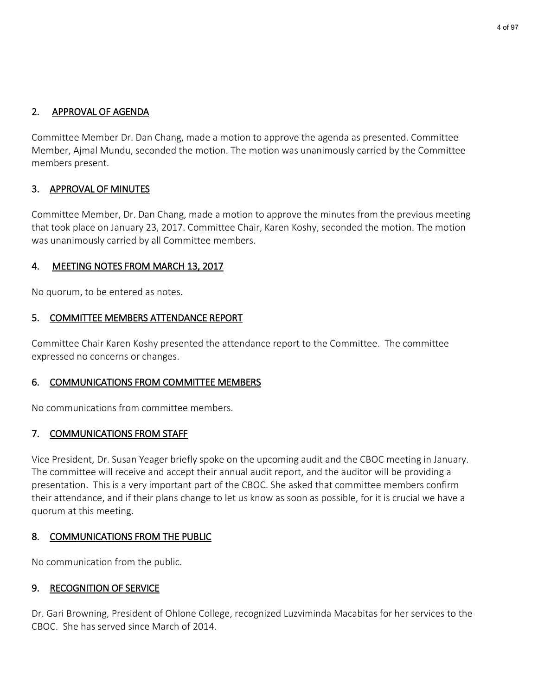### 2. APPROVAL OF AGENDA

Committee Member Dr. Dan Chang, made a motion to approve the agenda as presented. Committee Member, Ajmal Mundu, seconded the motion. The motion was unanimously carried by the Committee members present.

### 3. APPROVAL OF MINUTES

Committee Member, Dr. Dan Chang, made a motion to approve the minutes from the previous meeting that took place on January 23, 2017. Committee Chair, Karen Koshy, seconded the motion. The motion was unanimously carried by all Committee members.

### 4. MEETING NOTES FROM MARCH 13, 2017

No quorum, to be entered as notes.

### 5. COMMITTEE MEMBERS ATTENDANCE REPORT

Committee Chair Karen Koshy presented the attendance report to the Committee. The committee expressed no concerns or changes.

### 6. COMMUNICATIONS FROM COMMITTEE MEMBERS

No communications from committee members.

### 7. COMMUNICATIONS FROM STAFF

Vice President, Dr. Susan Yeager briefly spoke on the upcoming audit and the CBOC meeting in January. The committee will receive and accept their annual audit report, and the auditor will be providing a presentation. This is a very important part of the CBOC. She asked that committee members confirm their attendance, and if their plans change to let us know as soon as possible, for it is crucial we have a quorum at this meeting.

### 8. COMMUNICATIONS FROM THE PUBLIC

No communication from the public.

### 9. RECOGNITION OF SERVICE

Dr. Gari Browning, President of Ohlone College, recognized Luzviminda Macabitas for her services to the CBOC. She has served since March of 2014.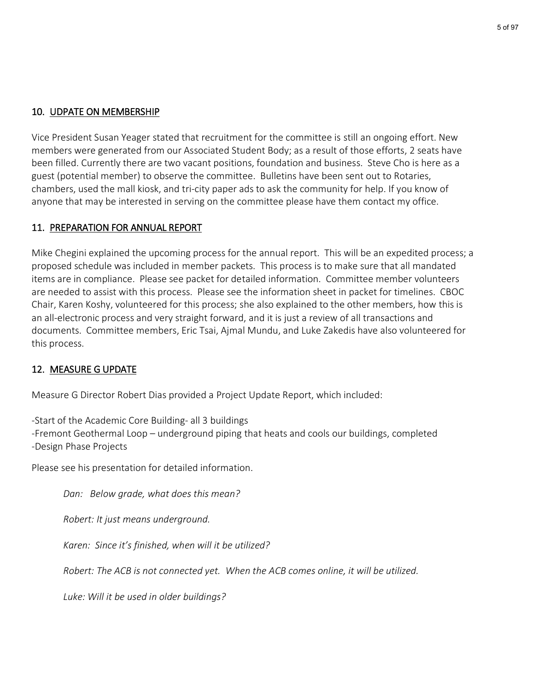### 10. UDPATE ON MEMBERSHIP

Vice President Susan Yeager stated that recruitment for the committee is still an ongoing effort. New members were generated from our Associated Student Body; as a result of those efforts, 2 seats have been filled. Currently there are two vacant positions, foundation and business. Steve Cho is here as a guest (potential member) to observe the committee. Bulletins have been sent out to Rotaries, chambers, used the mall kiosk, and tri-city paper ads to ask the community for help. If you know of anyone that may be interested in serving on the committee please have them contact my office.

### 11. PREPARATION FOR ANNUAL REPORT

Mike Chegini explained the upcoming process for the annual report. This will be an expedited process; a proposed schedule was included in member packets. This process is to make sure that all mandated items are in compliance. Please see packet for detailed information. Committee member volunteers are needed to assist with this process. Please see the information sheet in packet for timelines. CBOC Chair, Karen Koshy, volunteered for this process; she also explained to the other members, how this is an all-electronic process and very straight forward, and it is just a review of all transactions and documents. Committee members, Eric Tsai, Ajmal Mundu, and Luke Zakedis have also volunteered for this process.

### 12. MEASURE G UPDATE

Measure G Director Robert Dias provided a Project Update Report, which included:

-Start of the Academic Core Building- all 3 buildings

-Fremont Geothermal Loop – underground piping that heats and cools our buildings, completed -Design Phase Projects

Please see his presentation for detailed information.

*Dan: Below grade, what does this mean?*

*Robert: It just means underground.*

*Karen: Since it's finished, when will it be utilized?*

*Robert: The ACB is not connected yet. When the ACB comes online, it will be utilized.*

*Luke: Will it be used in older buildings?*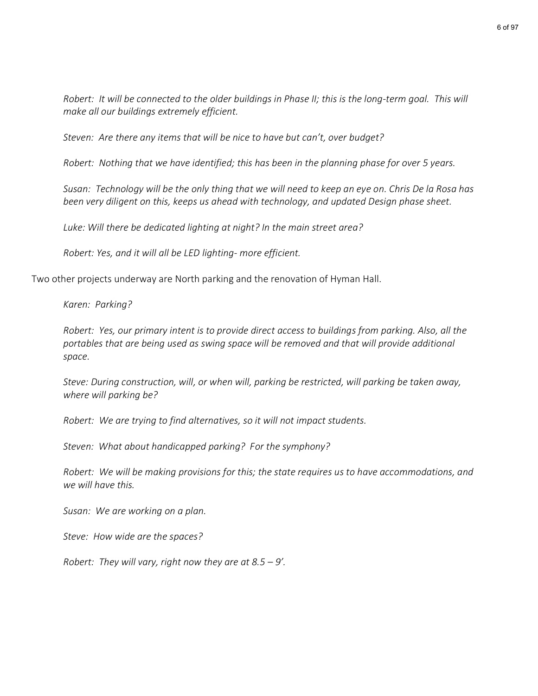*Robert: It will be connected to the older buildings in Phase II; this is the long-term goal. This will make all our buildings extremely efficient.*

*Steven: Are there any items that will be nice to have but can't, over budget?* 

*Robert: Nothing that we have identified; this has been in the planning phase for over 5 years.*

*Susan: Technology will be the only thing that we will need to keep an eye on. Chris De la Rosa has been very diligent on this, keeps us ahead with technology, and updated Design phase sheet.*

*Luke: Will there be dedicated lighting at night? In the main street area?*

*Robert: Yes, and it will all be LED lighting- more efficient.*

Two other projects underway are North parking and the renovation of Hyman Hall.

*Karen: Parking?* 

*Robert: Yes, our primary intent is to provide direct access to buildings from parking. Also, all the portables that are being used as swing space will be removed and that will provide additional space.*

*Steve: During construction, will, or when will, parking be restricted, will parking be taken away, where will parking be?*

*Robert: We are trying to find alternatives, so it will not impact students.*

*Steven: What about handicapped parking? For the symphony?*

*Robert: We will be making provisions for this; the state requires us to have accommodations, and we will have this.*

*Susan: We are working on a plan.*

*Steve: How wide are the spaces?*

*Robert: They will vary, right now they are at*  $8.5 - 9'$ *.*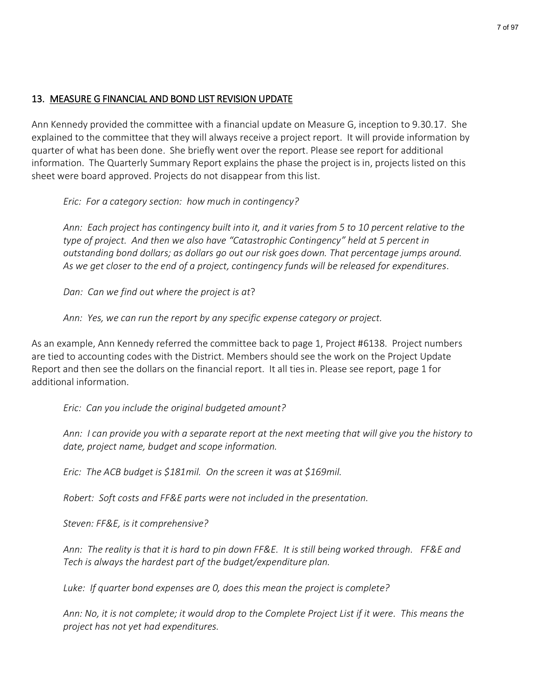# 7 of 97

#### 13. MEASURE G FINANCIAL AND BOND LIST REVISION UPDATE

Ann Kennedy provided the committee with a financial update on Measure G, inception to 9.30.17. She explained to the committee that they will always receive a project report. It will provide information by quarter of what has been done. She briefly went over the report. Please see report for additional information. The Quarterly Summary Report explains the phase the project is in, projects listed on this sheet were board approved. Projects do not disappear from this list.

*Eric: For a category section: how much in contingency?*

*Ann: Each project has contingency built into it, and it varies from 5 to 10 percent relative to the type of project. And then we also have "Catastrophic Contingency" held at 5 percent in outstanding bond dollars; as dollars go out our risk goes down. That percentage jumps around. As we get closer to the end of a project, contingency funds will be released for expenditures*.

*Dan: Can we find out where the project is at*?

*Ann: Yes, we can run the report by any specific expense category or project.*

As an example, Ann Kennedy referred the committee back to page 1, Project #6138. Project numbers are tied to accounting codes with the District. Members should see the work on the Project Update Report and then see the dollars on the financial report. It all ties in. Please see report, page 1 for additional information.

*Eric: Can you include the original budgeted amount?*

*Ann: I can provide you with a separate report at the next meeting that will give you the history to date, project name, budget and scope information.*

*Eric: The ACB budget is \$181mil. On the screen it was at \$169mil.* 

*Robert: Soft costs and FF&E parts were not included in the presentation.*

*Steven: FF&E, is it comprehensive?*

*Ann: The reality is that it is hard to pin down FF&E. It is still being worked through. FF&E and Tech is always the hardest part of the budget/expenditure plan.*

*Luke: If quarter bond expenses are 0, does this mean the project is complete?*

*Ann: No, it is not complete; it would drop to the Complete Project List if it were. This means the project has not yet had expenditures.*